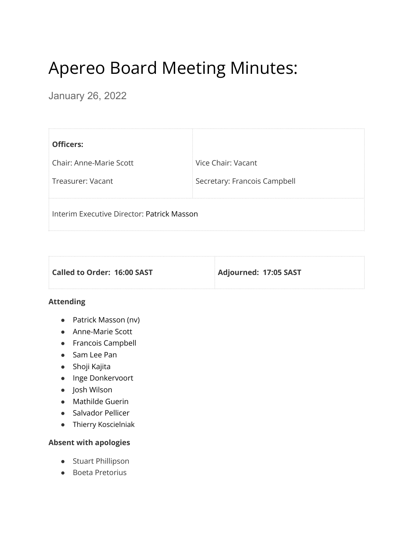# Apereo Board Meeting Minutes:

January 26, 2022

| <b>Officers:</b>                           |                              |
|--------------------------------------------|------------------------------|
| <b>Chair: Anne-Marie Scott</b>             | Vice Chair: Vacant           |
| Treasurer: Vacant                          | Secretary: Francois Campbell |
| Interim Executive Director: Patrick Masson |                              |

| Called to Order: 16:00 SAST | Adjourned: 17:05 SAST |
|-----------------------------|-----------------------|
|                             |                       |

## **Attending**

- Patrick Masson (nv)
- Anne-Marie Scott
- Francois Campbell
- Sam Lee Pan
- Shoji Kajita
- Inge Donkervoort
- Josh Wilson
- Mathilde Guerin
- Salvador Pellicer
- Thierry Koscielniak

# **Absent with apologies**

- Stuart Phillipson
- Boeta Pretorius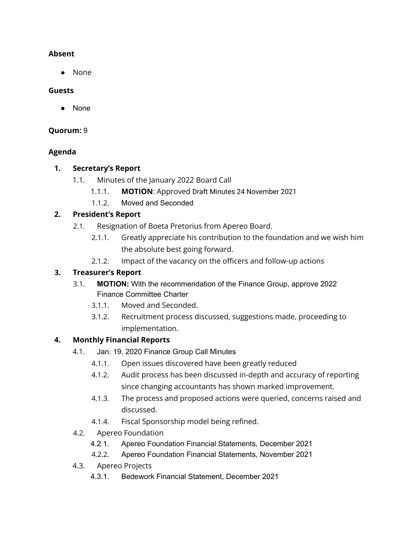# **Absent**

● None

## **Guests**

● None

# **Quorum:** 9

# **Agenda**

# **1. Secretary's Report**

- 1.1. Minutes of the January 2022 Board Call
	- 1.1.1. **MOTION**: Approved Draft Minutes 24 November 2021
	- 1.1.2. Moved and Seconded

# **2. President's Report**

- 2.1. Resignation of Boeta Pretorius from Apereo Board.
	- 2.1.1. Greatly appreciate his contribution to the foundation and we wish him the absolute best going forward.
	- 2.1.2. Impact of the vacancy on the officers and follow-up actions

# **3. Treasurer's Report**

- 3.1. **MOTION:** With the recommendation of the Finance Group, approve 2022 Finance Committee Charter
	- 3.1.1. Moved and Seconded.
	- 3.1.2. Recruitment process discussed, suggestions made, proceeding to implementation.

# **4. Monthly Financial Reports**

- 4.1. Jan. 19, 2020 Finance Group Call Minutes
	- 4.1.1. Open issues discovered have been greatly reduced
	- 4.1.2. Audit process has been discussed in-depth and accuracy of reporting since changing accountants has shown marked improvement.
	- 4.1.3. The process and proposed actions were queried, concerns raised and discussed.
	- 4.1.4. Fiscal Sponsorship model being refined.
- 4.2. Apereo Foundation
	- 4.2.1. Apereo Foundation Financial Statements, December 2021
	- 4.2.2. Apereo Foundation Financial Statements, November 2021
- 4.3. Apereo Projects
	- 4.3.1. Bedework Financial Statement, December 2021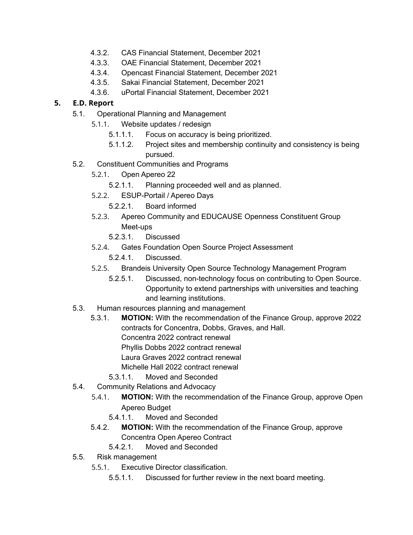- 4.3.2. CAS Financial Statement, December 2021
- 4.3.3. OAE Financial Statement, December 2021
- 4.3.4. Opencast Financial Statement, December 2021
- 4.3.5. Sakai Financial Statement, December 2021
- 4.3.6. uPortal Financial Statement, December 2021

## **5. E.D. Report**

- 5.1. Operational Planning and Management
	- 5.1.1. Website updates / redesign
		- 5.1.1.1. Focus on accuracy is being prioritized.
		- 5.1.1.2. Project sites and membership continuity and consistency is being pursued.
- 5.2. Constituent Communities and Programs
	- 5.2.1. Open Apereo 22
		- 5.2.1.1. Planning proceeded well and as planned.
	- 5.2.2. ESUP-Portail / Apereo Days
		- 5.2.2.1. Board informed
	- 5.2.3. Apereo Community and EDUCAUSE Openness Constituent Group Meet-ups
		- 5.2.3.1. Discussed
	- 5.2.4. Gates Foundation Open Source Project Assessment
		- 5.2.4.1. Discussed.
	- 5.2.5. Brandeis University Open Source Technology Management Program
		- 5.2.5.1. Discussed, non-technology focus on contributing to Open Source. Opportunity to extend partnerships with universities and teaching and learning institutions.
- 5.3. Human resources planning and management
	- 5.3.1. **MOTION:** With the recommendation of the Finance Group, approve 2022 contracts for Concentra, Dobbs, Graves, and Hall. Concentra 2022 contract renewal Phyllis Dobbs 2022 contract renewal Laura Graves 2022 contract renewal Michelle Hall 2022 contract renewal 5.3.1.1. Moved and Seconded
		-
- 5.4. Community Relations and Advocacy
	- 5.4.1. **MOTION:** With the recommendation of the Finance Group, approve Open Apereo Budget
		- 5.4.1.1. Moved and Seconded
	- 5.4.2. **MOTION:** With the recommendation of the Finance Group, approve Concentra Open Apereo Contract
		- 5.4.2.1. Moved and Seconded
- 5.5. Risk management
	- 5.5.1. Executive Director classification.
		- 5.5.1.1. Discussed for further review in the next board meeting.